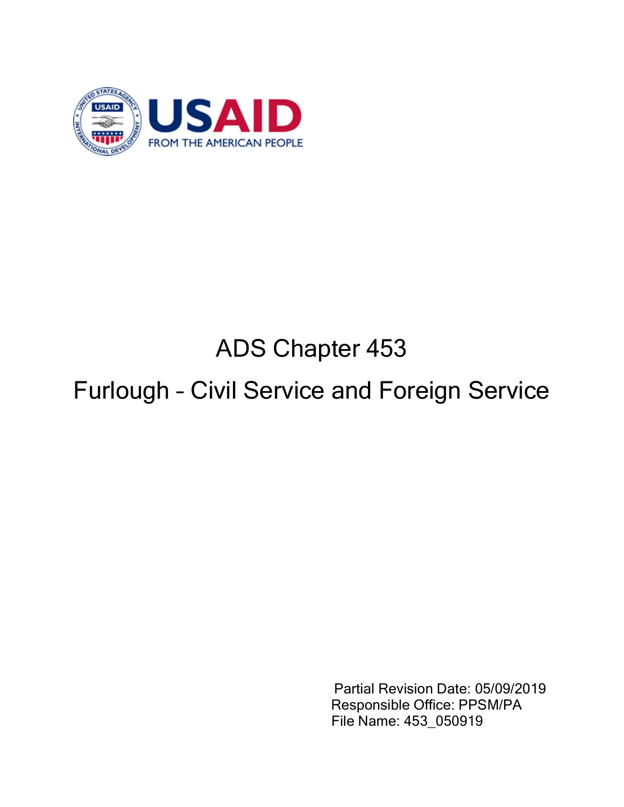

# ADS Chapter 453

## Furlough – Civil Service and Foreign Service

Partial Revision Date: 05/09/2019 Responsible Office: PPSM/PA File Name: 453\_050919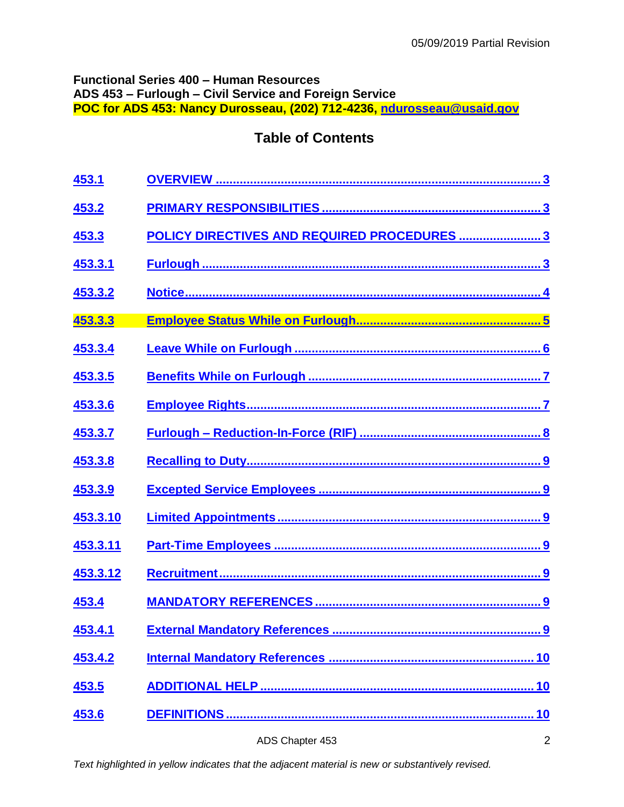### **Functional Series 400 – Human Resources ADS 453 – Furlough – Civil Service and Foreign Service POC for ADS 453: Nancy Durosseau, (202) 712-4236, [ndurosseau@usaid.gov](mailto:ndurosseau@usaid.gov)**

## **Table of Contents**

| 453.1    |                                             |
|----------|---------------------------------------------|
| 453.2    |                                             |
| 453.3    | POLICY DIRECTIVES AND REQUIRED PROCEDURES 3 |
| 453.3.1  |                                             |
| 453.3.2  |                                             |
| 453.3.3  |                                             |
| 453.3.4  |                                             |
| 453.3.5  |                                             |
| 453.3.6  |                                             |
| 453.3.7  |                                             |
| 453.3.8  |                                             |
| 453.3.9  |                                             |
| 453.3.10 |                                             |
| 453.3.11 |                                             |
| 453.3.12 |                                             |
| 453.4    |                                             |
| 453.4.1  |                                             |
| 453.4.2  |                                             |
| 453.5    |                                             |
| 453.6    |                                             |
|          | $\overline{2}$<br>ADS Chapter 453           |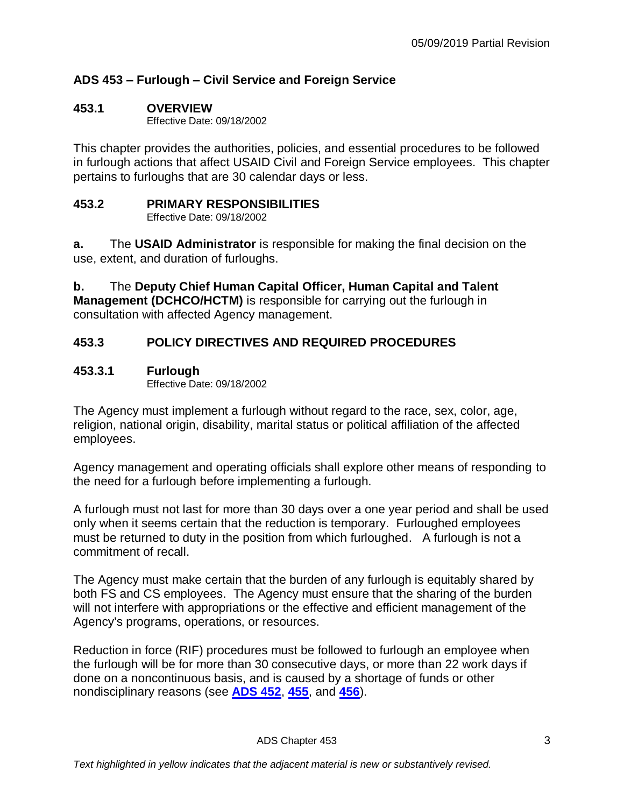## **ADS 453 – Furlough – Civil Service and Foreign Service**

## <span id="page-2-0"></span>**453.1 OVERVIEW**

Effective Date: 09/18/2002

This chapter provides the authorities, policies, and essential procedures to be followed in furlough actions that affect USAID Civil and Foreign Service employees. This chapter pertains to furloughs that are 30 calendar days or less.

## <span id="page-2-1"></span>**453.2 PRIMARY RESPONSIBILITIES**

Effective Date: 09/18/2002

**a.** The **USAID Administrator** is responsible for making the final decision on the use, extent, and duration of furloughs.

**b.** The **Deputy Chief Human Capital Officer, Human Capital and Talent Management (DCHCO/HCTM)** is responsible for carrying out the furlough in consultation with affected Agency management.

## <span id="page-2-2"></span>**453.3 POLICY DIRECTIVES AND REQUIRED PROCEDURES**

## <span id="page-2-3"></span>**453.3.1 Furlough**

Effective Date: 09/18/2002

The Agency must implement a furlough without regard to the race, sex, color, age, religion, national origin, disability, marital status or political affiliation of the affected employees.

Agency management and operating officials shall explore other means of responding to the need for a furlough before implementing a furlough.

A furlough must not last for more than 30 days over a one year period and shall be used only when it seems certain that the reduction is temporary. Furloughed employees must be returned to duty in the position from which furloughed. A furlough is not a commitment of recall.

The Agency must make certain that the burden of any furlough is equitably shared by both FS and CS employees. The Agency must ensure that the sharing of the burden will not interfere with appropriations or the effective and efficient management of the Agency's programs, operations, or resources.

Reduction in force (RIF) procedures must be followed to furlough an employee when the furlough will be for more than 30 consecutive days, or more than 22 work days if done on a noncontinuous basis, and is caused by a shortage of funds or other nondisciplinary reasons (see **[ADS 452](http://www.usaid.gov/ads/policy/400/452)**, **[455](http://www.usaid.gov/ads/policy/400/455)**, and **[456](http://www.usaid.gov/ads/policy/400/456)**).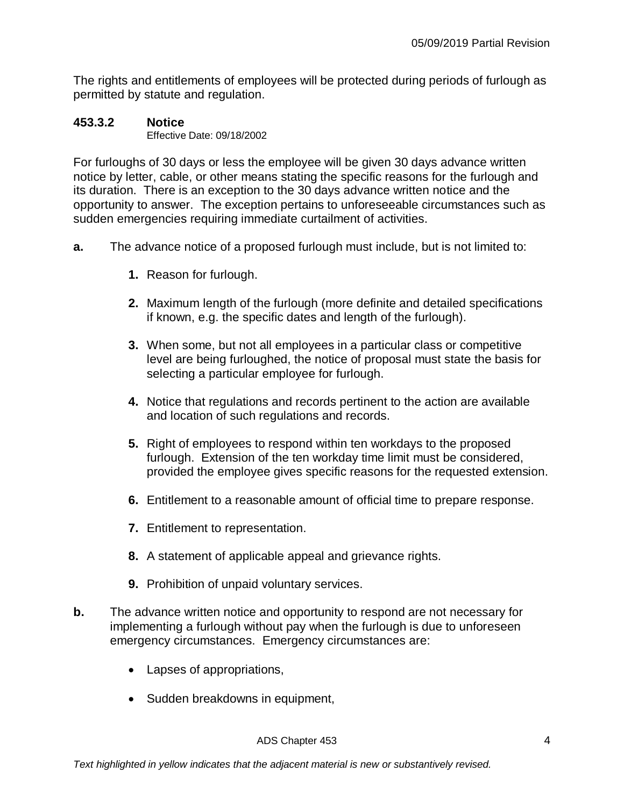The rights and entitlements of employees will be protected during periods of furlough as permitted by statute and regulation.

## <span id="page-3-0"></span>**453.3.2 Notice**

Effective Date: 09/18/2002

For furloughs of 30 days or less the employee will be given 30 days advance written notice by letter, cable, or other means stating the specific reasons for the furlough and its duration. There is an exception to the 30 days advance written notice and the opportunity to answer. The exception pertains to unforeseeable circumstances such as sudden emergencies requiring immediate curtailment of activities.

- **a.** The advance notice of a proposed furlough must include, but is not limited to:
	- **1.** Reason for furlough.
	- **2.** Maximum length of the furlough (more definite and detailed specifications if known, e.g. the specific dates and length of the furlough).
	- **3.** When some, but not all employees in a particular class or competitive level are being furloughed, the notice of proposal must state the basis for selecting a particular employee for furlough.
	- **4.** Notice that regulations and records pertinent to the action are available and location of such regulations and records.
	- **5.** Right of employees to respond within ten workdays to the proposed furlough. Extension of the ten workday time limit must be considered, provided the employee gives specific reasons for the requested extension.
	- **6.** Entitlement to a reasonable amount of official time to prepare response.
	- **7.** Entitlement to representation.
	- **8.** A statement of applicable appeal and grievance rights.
	- **9.** Prohibition of unpaid voluntary services.
- **b.** The advance written notice and opportunity to respond are not necessary for implementing a furlough without pay when the furlough is due to unforeseen emergency circumstances. Emergency circumstances are:
	- Lapses of appropriations,
	- Sudden breakdowns in equipment,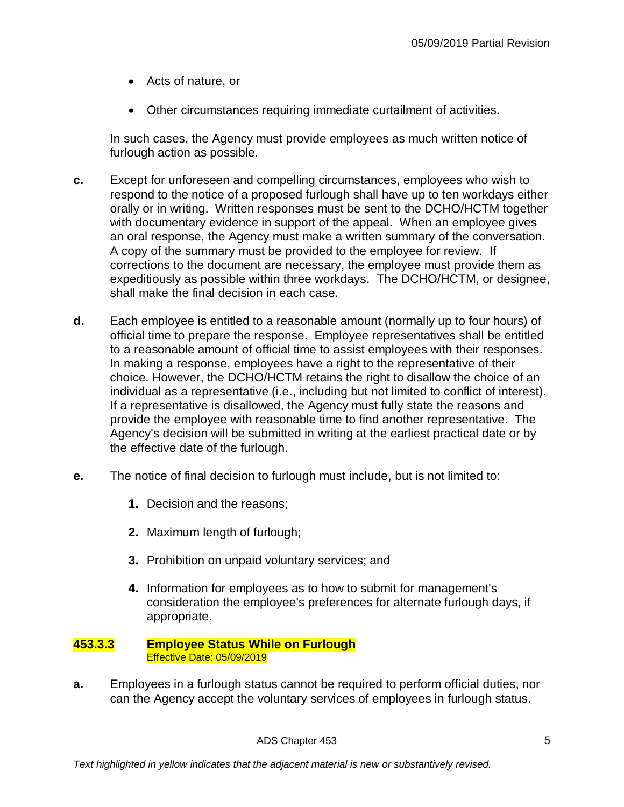- Acts of nature, or
- Other circumstances requiring immediate curtailment of activities.

In such cases, the Agency must provide employees as much written notice of furlough action as possible.

- **c.** Except for unforeseen and compelling circumstances, employees who wish to respond to the notice of a proposed furlough shall have up to ten workdays either orally or in writing. Written responses must be sent to the DCHO/HCTM together with documentary evidence in support of the appeal. When an employee gives an oral response, the Agency must make a written summary of the conversation. A copy of the summary must be provided to the employee for review. If corrections to the document are necessary, the employee must provide them as expeditiously as possible within three workdays. The DCHO/HCTM, or designee, shall make the final decision in each case.
- **d.** Each employee is entitled to a reasonable amount (normally up to four hours) of official time to prepare the response. Employee representatives shall be entitled to a reasonable amount of official time to assist employees with their responses. In making a response, employees have a right to the representative of their choice. However, the DCHO/HCTM retains the right to disallow the choice of an individual as a representative (i.e., including but not limited to conflict of interest). If a representative is disallowed, the Agency must fully state the reasons and provide the employee with reasonable time to find another representative. The Agency's decision will be submitted in writing at the earliest practical date or by the effective date of the furlough.
- **e.** The notice of final decision to furlough must include, but is not limited to:
	- **1.** Decision and the reasons;
	- **2.** Maximum length of furlough;
	- **3.** Prohibition on unpaid voluntary services; and
	- **4.** Information for employees as to how to submit for management's consideration the employee's preferences for alternate furlough days, if appropriate.

#### <span id="page-4-0"></span>**453.3.3 Employee Status While on Furlough**  Effective Date: 05/09/2019

**a.** Employees in a furlough status cannot be required to perform official duties, nor can the Agency accept the voluntary services of employees in furlough status.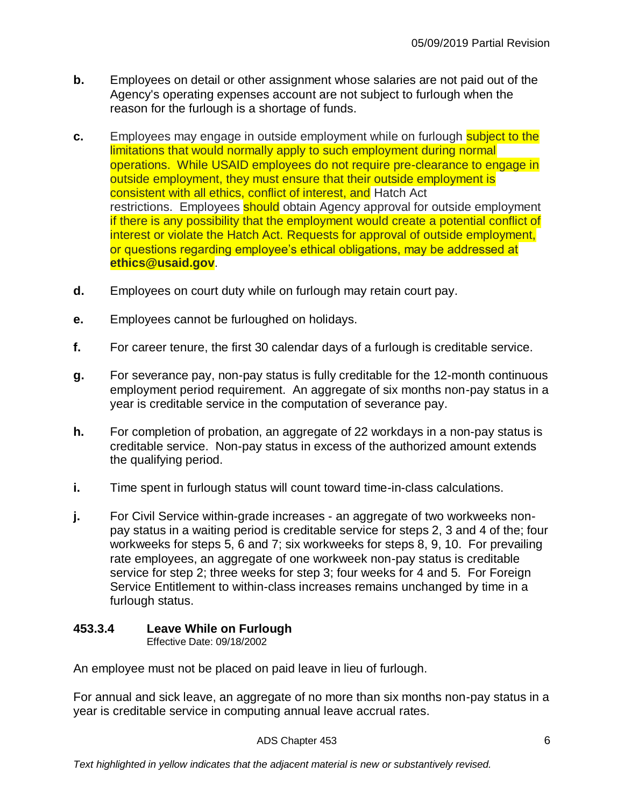- **b.** Employees on detail or other assignment whose salaries are not paid out of the Agency's operating expenses account are not subject to furlough when the reason for the furlough is a shortage of funds.
- **c.** Employees may engage in outside employment while on furlough subject to the limitations that would normally apply to such employment during normal operations. While USAID employees do not require pre-clearance to engage in outside employment, they must ensure that their outside employment is consistent with all ethics, conflict of interest, and Hatch Act restrictions. Employees should obtain Agency approval for outside employment if there is any possibility that the employment would create a potential conflict of interest or violate the Hatch Act. Requests for approval of outside employment, or questions regarding employee's ethical obligations, may be addressed at **ethics@usaid.gov**.
- **d.** Employees on court duty while on furlough may retain court pay.
- **e.** Employees cannot be furloughed on holidays.
- **f.** For career tenure, the first 30 calendar days of a furlough is creditable service.
- **g.** For severance pay, non-pay status is fully creditable for the 12-month continuous employment period requirement. An aggregate of six months non-pay status in a year is creditable service in the computation of severance pay.
- **h.** For completion of probation, an aggregate of 22 workdays in a non-pay status is creditable service. Non-pay status in excess of the authorized amount extends the qualifying period.
- **i.** Time spent in furlough status will count toward time-in-class calculations.
- **j.** For Civil Service within-grade increases an aggregate of two workweeks nonpay status in a waiting period is creditable service for steps 2, 3 and 4 of the; four workweeks for steps 5, 6 and 7; six workweeks for steps 8, 9, 10. For prevailing rate employees, an aggregate of one workweek non-pay status is creditable service for step 2; three weeks for step 3; four weeks for 4 and 5. For Foreign Service Entitlement to within-class increases remains unchanged by time in a furlough status.

## <span id="page-5-0"></span>**453.3.4 Leave While on Furlough**

Effective Date: 09/18/2002

An employee must not be placed on paid leave in lieu of furlough.

For annual and sick leave, an aggregate of no more than six months non-pay status in a year is creditable service in computing annual leave accrual rates.

ADS Chapter 453 6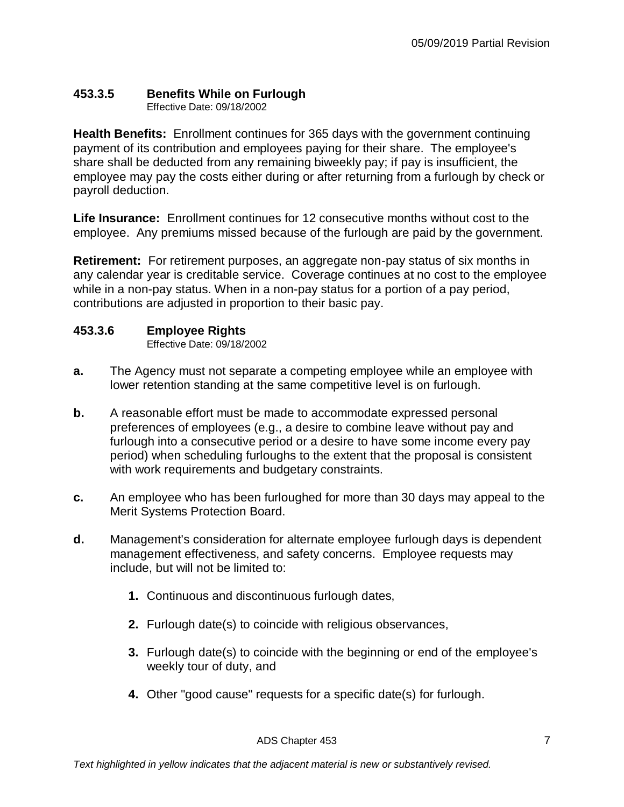## <span id="page-6-0"></span>**453.3.5 Benefits While on Furlough**

Effective Date: 09/18/2002

**Health Benefits:** Enrollment continues for 365 days with the government continuing payment of its contribution and employees paying for their share. The employee's share shall be deducted from any remaining biweekly pay; if pay is insufficient, the employee may pay the costs either during or after returning from a furlough by check or payroll deduction.

**Life Insurance:** Enrollment continues for 12 consecutive months without cost to the employee. Any premiums missed because of the furlough are paid by the government.

**Retirement:** For retirement purposes, an aggregate non-pay status of six months in any calendar year is creditable service. Coverage continues at no cost to the employee while in a non-pay status. When in a non-pay status for a portion of a pay period, contributions are adjusted in proportion to their basic pay.

## <span id="page-6-1"></span>**453.3.6 Employee Rights**

Effective Date: 09/18/2002

- **a.** The Agency must not separate a competing employee while an employee with lower retention standing at the same competitive level is on furlough.
- **b.** A reasonable effort must be made to accommodate expressed personal preferences of employees (e.g., a desire to combine leave without pay and furlough into a consecutive period or a desire to have some income every pay period) when scheduling furloughs to the extent that the proposal is consistent with work requirements and budgetary constraints.
- **c.** An employee who has been furloughed for more than 30 days may appeal to the Merit Systems Protection Board.
- **d.** Management's consideration for alternate employee furlough days is dependent management effectiveness, and safety concerns. Employee requests may include, but will not be limited to:
	- **1.** Continuous and discontinuous furlough dates,
	- **2.** Furlough date(s) to coincide with religious observances,
	- **3.** Furlough date(s) to coincide with the beginning or end of the employee's weekly tour of duty, and
	- **4.** Other "good cause" requests for a specific date(s) for furlough.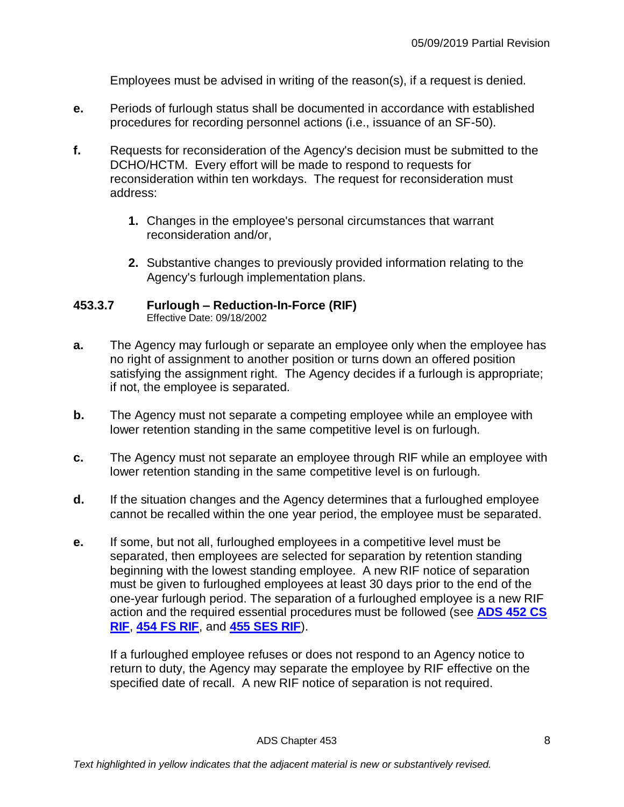Employees must be advised in writing of the reason(s), if a request is denied.

- **e.** Periods of furlough status shall be documented in accordance with established procedures for recording personnel actions (i.e., issuance of an SF-50).
- **f.** Requests for reconsideration of the Agency's decision must be submitted to the DCHO/HCTM. Every effort will be made to respond to requests for reconsideration within ten workdays. The request for reconsideration must address:
	- **1.** Changes in the employee's personal circumstances that warrant reconsideration and/or,
	- **2.** Substantive changes to previously provided information relating to the Agency's furlough implementation plans.

#### <span id="page-7-0"></span>**453.3.7 Furlough – Reduction-In-Force (RIF)** Effective Date: 09/18/2002

- **a.** The Agency may furlough or separate an employee only when the employee has no right of assignment to another position or turns down an offered position satisfying the assignment right. The Agency decides if a furlough is appropriate; if not, the employee is separated.
- **b.** The Agency must not separate a competing employee while an employee with lower retention standing in the same competitive level is on furlough.
- **c.** The Agency must not separate an employee through RIF while an employee with lower retention standing in the same competitive level is on furlough.
- **d.** If the situation changes and the Agency determines that a furloughed employee cannot be recalled within the one year period, the employee must be separated.
- **e.** If some, but not all, furloughed employees in a competitive level must be separated, then employees are selected for separation by retention standing beginning with the lowest standing employee. A new RIF notice of separation must be given to furloughed employees at least 30 days prior to the end of the one-year furlough period. The separation of a furloughed employee is a new RIF action and the required essential procedures must be followed (see **[ADS 452 CS](http://www.usaid.gov/ads/policy/400/452)  [RIF](http://www.usaid.gov/ads/policy/400/452)**, **[454 FS RIF](http://www.usaid.gov/ads/policy/400/454)**, and **[455 SES RIF](http://www.usaid.gov/ads/policy/400/455)**).

If a furloughed employee refuses or does not respond to an Agency notice to return to duty, the Agency may separate the employee by RIF effective on the specified date of recall. A new RIF notice of separation is not required.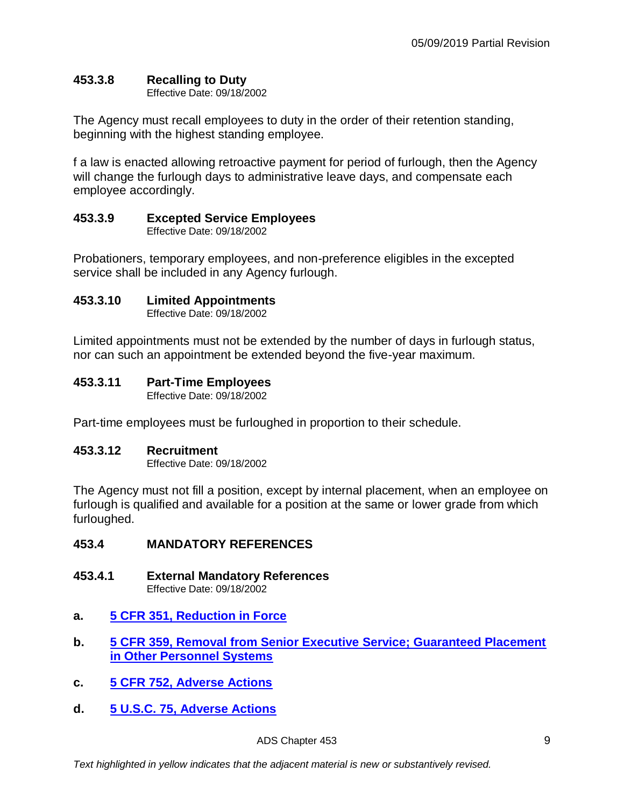## <span id="page-8-0"></span>**453.3.8 Recalling to Duty**

Effective Date: 09/18/2002

The Agency must recall employees to duty in the order of their retention standing, beginning with the highest standing employee.

f a law is enacted allowing retroactive payment for period of furlough, then the Agency will change the furlough days to administrative leave days, and compensate each employee accordingly.

## <span id="page-8-1"></span>**453.3.9 Excepted Service Employees**

Effective Date: 09/18/2002

Probationers, temporary employees, and non-preference eligibles in the excepted service shall be included in any Agency furlough.

## <span id="page-8-2"></span>**453.3.10 Limited Appointments**

Effective Date: 09/18/2002

Limited appointments must not be extended by the number of days in furlough status, nor can such an appointment be extended beyond the five-year maximum.

## <span id="page-8-3"></span>**453.3.11 Part-Time Employees**

Effective Date: 09/18/2002

Part-time employees must be furloughed in proportion to their schedule.

## <span id="page-8-4"></span>**453.3.12 Recruitment**

Effective Date: 09/18/2002

The Agency must not fill a position, except by internal placement, when an employee on furlough is qualified and available for a position at the same or lower grade from which furloughed.

## <span id="page-8-5"></span>**453.4 MANDATORY REFERENCES**

<span id="page-8-6"></span>**453.4.1 External Mandatory References**

Effective Date: 09/18/2002

- **a. [5 CFR 351, Reduction in Force](http://www.gpo.gov/fdsys/pkg/CFR-2011-title5-vol1/pdf/CFR-2011-title5-vol1-part351.pdf)**
- **b. [5 CFR 359, Removal from Senior Executive Service; Guaranteed Placement](http://www.gpo.gov/fdsys/pkg/CFR-2011-title5-vol1/pdf/CFR-2011-title5-vol1-part359.pdf)  [in Other Personnel Systems](http://www.gpo.gov/fdsys/pkg/CFR-2011-title5-vol1/pdf/CFR-2011-title5-vol1-part359.pdf)**
- **c. [5 CFR 752, Adverse Actions](http://www.gpo.gov/fdsys/pkg/CFR-2011-title5-vol2/pdf/CFR-2011-title5-vol2-part752.pdf)**
- **d. 5 U.S.C. [75, Adverse Actions](http://uscode.house.gov/)**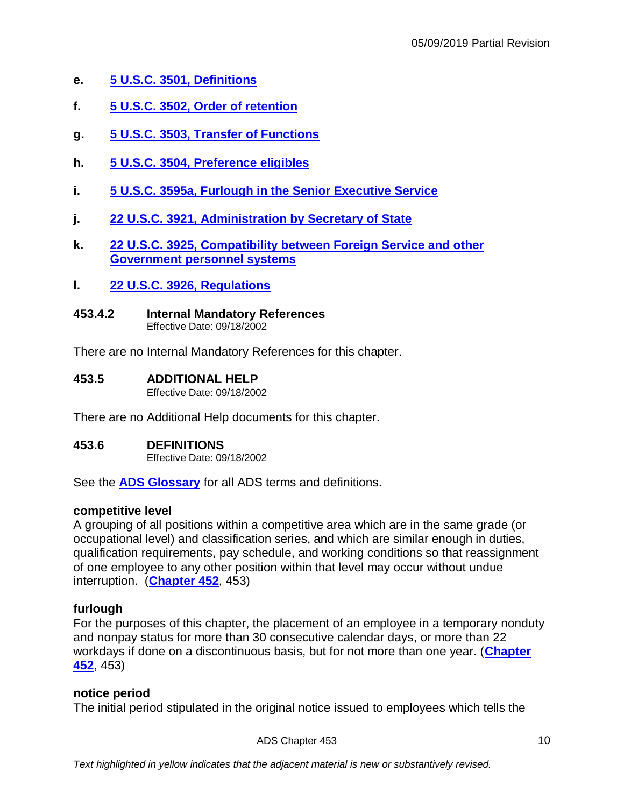- **e. 5 U.S.C. [3501, Definitions](http://uscode.house.gov/view.xhtml?req=(title:5%20section:3501%20edition:prelim)%20OR%20(granuleid:USC-prelim-title5-section3501)&f=treesort&edition=prelim&num=0&jumpTo=true)**
- **f. 5 U.S.C. [3502, Order of retention](http://uscode.house.gov/view.xhtml?req=(title:5%20section:3502%20edition:prelim)%20OR%20(granuleid:USC-prelim-title5-section3502)&f=treesort&edition=prelim&num=0&jumpTo=true)**
- **g. 5 U.S.C. [3503, Transfer of Functions](http://uscode.house.gov/view.xhtml?req=(title:5%20section:3503%20edition:prelim)%20OR%20(granuleid:USC-prelim-title5-section3503)&f=treesort&edition=prelim&num=0&jumpTo=true)**
- **h. 5 U.S.C. [3504, Preference eligibles](http://uscode.house.gov/view.xhtml?req=(title:5%20section:3504%20edition:prelim)%20OR%20(granuleid:USC-prelim-title5-section3504)&f=treesort&edition=prelim&num=0&jumpTo=true)**
- **i. 5 U.S.C. [3595a, Furlough in the Senior Executive Service](http://uscode.house.gov/view.xhtml?req=(title:5%20section:3595%20edition:prelim)%20OR%20(granuleid:USC-prelim-title5-section3595)&f=treesort&edition=prelim&num=0&jumpTo=true)**
- **j. 22 U.S.C. [3921, Administration by Secretary of State](http://uscode.house.gov/view.xhtml?req=(title:22%20section:3921%20edition:prelim)%20OR%20(granuleid:USC-prelim-title22-section3921)&f=treesort&edition=prelim&num=0&jumpTo=true)**
- **k. 22 U.S.C. [3925, Compatibility between Foreign Service and other](http://uscode.house.gov/view.xhtml?req=(title:22%20section:3925%20edition:prelim)%20OR%20(granuleid:USC-prelim-title22-section3925)&f=treesort&edition=prelim&num=0&jumpTo=true)  [Government personnel systems](http://uscode.house.gov/view.xhtml?req=(title:22%20section:3925%20edition:prelim)%20OR%20(granuleid:USC-prelim-title22-section3925)&f=treesort&edition=prelim&num=0&jumpTo=true)**
- **l. 22 U.S.C. [3926, Regulations](http://uscode.house.gov/view.xhtml?req=(title:22%20section:3926%20edition:prelim)%20OR%20(granuleid:USC-prelim-title22-section3926)&f=treesort&edition=prelim&num=0&jumpTo=true)**
- <span id="page-9-0"></span>**453.4.2 Internal Mandatory References** Effective Date: 09/18/2002

There are no Internal Mandatory References for this chapter.

#### <span id="page-9-1"></span>**453.5 ADDITIONAL HELP**

Effective Date: 09/18/2002

There are no Additional Help documents for this chapter.

#### <span id="page-9-2"></span>**453.6 DEFINITIONS**

Effective Date: 09/18/2002

See the **[ADS Glossary](http://www.usaid.gov/ads/policy/glossary)** for all ADS terms and definitions.

#### **competitive level**

A grouping of all positions within a competitive area which are in the same grade (or occupational level) and classification series, and which are similar enough in duties, qualification requirements, pay schedule, and working conditions so that reassignment of one employee to any other position within that level may occur without undue interruption. (**[Chapter 452](https://www.usaid.gov/ads/policy/400/452)**, 453)

#### **furlough**

For the purposes of this chapter, the placement of an employee in a temporary nonduty and nonpay status for more than 30 consecutive calendar days, or more than 22 workdays if done on a discontinuous basis, but for not more than one year. (**[Chapter](https://www.usaid.gov/ads/policy/400/452)  [452](https://www.usaid.gov/ads/policy/400/452)**, 453)

#### **notice period**

The initial period stipulated in the original notice issued to employees which tells the

ADS Chapter 453 10